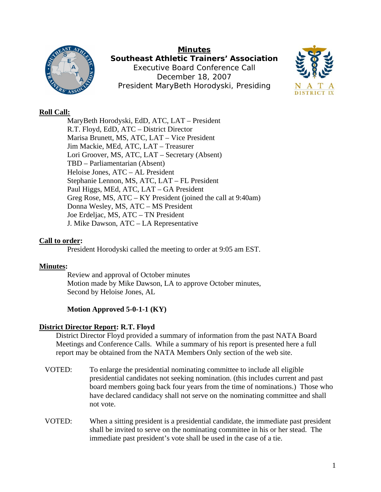

**Minutes Southeast Athletic Trainers' Association**  Executive Board Conference Call December 18, 2007 President MaryBeth Horodyski, Presiding



# **Roll Call:**

MaryBeth Horodyski, EdD, ATC, LAT – President R.T. Floyd, EdD, ATC – District Director Marisa Brunett, MS, ATC, LAT – Vice President Jim Mackie, MEd, ATC, LAT – Treasurer Lori Groover, MS, ATC, LAT – Secretary (Absent) TBD – Parliamentarian (Absent) Heloise Jones, ATC – AL President Stephanie Lennon, MS, ATC, LAT – FL President Paul Higgs, MEd, ATC, LAT – GA President Greg Rose, MS, ATC – KY President (joined the call at 9:40am) Donna Wesley, MS, ATC – MS President Joe Erdeljac, MS, ATC – TN President J. Mike Dawson, ATC – LA Representative

## **Call to order:**

President Horodyski called the meeting to order at 9:05 am EST.

## **Minutes:**

Review and approval of October minutes Motion made by Mike Dawson, LA to approve October minutes, Second by Heloise Jones, AL

# **Motion Approved 5-0-1-1 (KY)**

## **District Director Report: R.T. Floyd**

District Director Floyd provided a summary of information from the past NATA Board Meetings and Conference Calls. While a summary of his report is presented here a full report may be obtained from the NATA Members Only section of the web site.

- VOTED: To enlarge the presidential nominating committee to include all eligible presidential candidates not seeking nomination. (this includes current and past board members going back four years from the time of nominations.) Those who have declared candidacy shall not serve on the nominating committee and shall not vote.
- VOTED: When a sitting president is a presidential candidate, the immediate past president shall be invited to serve on the nominating committee in his or her stead. The immediate past president's vote shall be used in the case of a tie.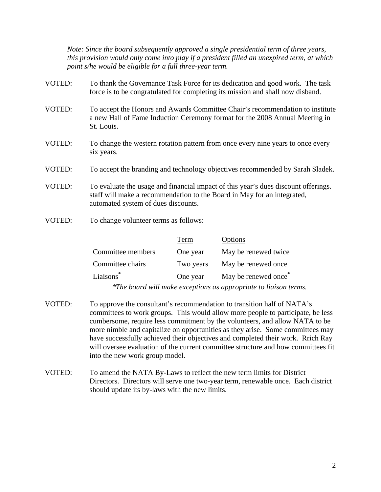*Note: Since the board subsequently approved a single presidential term of three years, this provision would only come into play if a president filled an unexpired term, at which point s/he would be eligible for a full three-year term.* 

- VOTED: To thank the Governance Task Force for its dedication and good work. The task force is to be congratulated for completing its mission and shall now disband.
- VOTED: To accept the Honors and Awards Committee Chair's recommendation to institute a new Hall of Fame Induction Ceremony format for the 2008 Annual Meeting in St. Louis.
- VOTED: To change the western rotation pattern from once every nine years to once every six years.
- VOTED: To accept the branding and technology objectives recommended by Sarah Sladek.
- VOTED: To evaluate the usage and financial impact of this year's dues discount offerings. staff will make a recommendation to the Board in May for an integrated, automated system of dues discounts.
- VOTED: To change volunteer terms as follows:

|                                                                  | Term      | Options                          |  |  |
|------------------------------------------------------------------|-----------|----------------------------------|--|--|
| Committee members                                                | One year  | May be renewed twice             |  |  |
| Committee chairs                                                 | Two years | May be renewed once              |  |  |
| Liaisons*                                                        | One year  | May be renewed once <sup>*</sup> |  |  |
| *The board will make exceptions as appropriate to liaison terms. |           |                                  |  |  |

- VOTED: To approve the consultant's recommendation to transition half of NATA's committees to work groups. This would allow more people to participate, be less cumbersome, require less commitment by the volunteers, and allow NATA to be more nimble and capitalize on opportunities as they arise. Some committees may have successfully achieved their objectives and completed their work. Rrich Ray will oversee evaluation of the current committee structure and how committees fit into the new work group model.
- VOTED: To amend the NATA By-Laws to reflect the new term limits for District Directors. Directors will serve one two-year term, renewable once. Each district should update its by-laws with the new limits.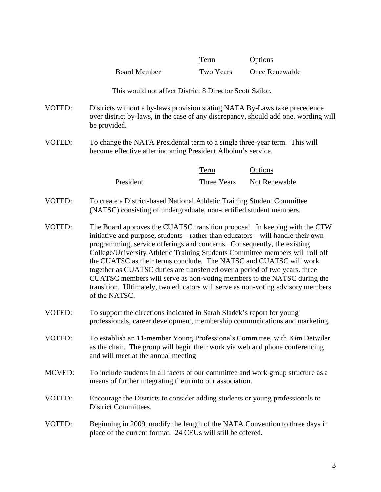|               |                                                                                                                                                                                                                                                                                                                                                                                                                                                                                                                                                                                                                                                                | <b>Term</b> | Options        |  |
|---------------|----------------------------------------------------------------------------------------------------------------------------------------------------------------------------------------------------------------------------------------------------------------------------------------------------------------------------------------------------------------------------------------------------------------------------------------------------------------------------------------------------------------------------------------------------------------------------------------------------------------------------------------------------------------|-------------|----------------|--|
|               | <b>Board Member</b>                                                                                                                                                                                                                                                                                                                                                                                                                                                                                                                                                                                                                                            | Two Years   | Once Renewable |  |
|               | This would not affect District 8 Director Scott Sailor.                                                                                                                                                                                                                                                                                                                                                                                                                                                                                                                                                                                                        |             |                |  |
| VOTED:        | Districts without a by-laws provision stating NATA By-Laws take precedence<br>over district by-laws, in the case of any discrepancy, should add one. wording will<br>be provided.                                                                                                                                                                                                                                                                                                                                                                                                                                                                              |             |                |  |
| VOTED:        | To change the NATA Presidental term to a single three-year term. This will<br>become effective after incoming President Albohm's service.                                                                                                                                                                                                                                                                                                                                                                                                                                                                                                                      |             |                |  |
|               |                                                                                                                                                                                                                                                                                                                                                                                                                                                                                                                                                                                                                                                                | <b>Term</b> | <b>Options</b> |  |
|               | President                                                                                                                                                                                                                                                                                                                                                                                                                                                                                                                                                                                                                                                      | Three Years | Not Renewable  |  |
| <b>VOTED:</b> | To create a District-based National Athletic Training Student Committee<br>(NATSC) consisting of undergraduate, non-certified student members.                                                                                                                                                                                                                                                                                                                                                                                                                                                                                                                 |             |                |  |
| VOTED:        | The Board approves the CUATSC transition proposal. In keeping with the CTW<br>initiative and purpose, students – rather than educators – will handle their own<br>programming, service offerings and concerns. Consequently, the existing<br>College/University Athletic Training Students Committee members will roll off<br>the CUATSC as their terms conclude. The NATSC and CUATSC will work<br>together as CUATSC duties are transferred over a period of two years. three<br>CUATSC members will serve as non-voting members to the NATSC during the<br>transition. Ultimately, two educators will serve as non-voting advisory members<br>of the NATSC. |             |                |  |
| <b>VOTED:</b> | To support the directions indicated in Sarah Sladek's report for young<br>professionals, career development, membership communications and marketing.                                                                                                                                                                                                                                                                                                                                                                                                                                                                                                          |             |                |  |
| VOTED:        | To establish an 11-member Young Professionals Committee, with Kim Detwiler<br>as the chair. The group will begin their work via web and phone conferencing<br>and will meet at the annual meeting                                                                                                                                                                                                                                                                                                                                                                                                                                                              |             |                |  |
| <b>MOVED:</b> | To include students in all facets of our committee and work group structure as a<br>means of further integrating them into our association.                                                                                                                                                                                                                                                                                                                                                                                                                                                                                                                    |             |                |  |
| VOTED:        | Encourage the Districts to consider adding students or young professionals to<br><b>District Committees.</b>                                                                                                                                                                                                                                                                                                                                                                                                                                                                                                                                                   |             |                |  |
| VOTED:        | Beginning in 2009, modify the length of the NATA Convention to three days in<br>place of the current format. 24 CEUs will still be offered.                                                                                                                                                                                                                                                                                                                                                                                                                                                                                                                    |             |                |  |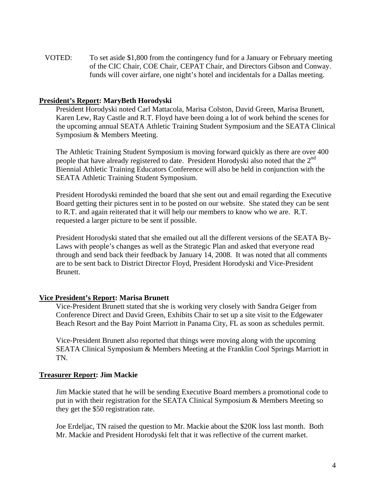VOTED: To set aside \$1,800 from the contingency fund for a January or February meeting of the CIC Chair, COE Chair, CEPAT Chair, and Directors Gibson and Conway. funds will cover airfare, one night's hotel and incidentals for a Dallas meeting.

#### **President's Report: MaryBeth Horodyski**

President Horodyski noted Carl Mattacola, Marisa Colston, David Green, Marisa Brunett, Karen Lew, Ray Castle and R.T. Floyd have been doing a lot of work behind the scenes for the upcoming annual SEATA Athletic Training Student Symposium and the SEATA Clinical Symposium & Members Meeting.

The Athletic Training Student Symposium is moving forward quickly as there are over 400 people that have already registered to date. President Horodyski also noted that the  $2<sup>nd</sup>$ Biennial Athletic Training Educators Conference will also be held in conjunction with the SEATA Athletic Training Student Symposium.

President Horodyski reminded the board that she sent out and email regarding the Executive Board getting their pictures sent in to be posted on our website. She stated they can be sent to R.T. and again reiterated that it will help our members to know who we are. R.T. requested a larger picture to be sent if possible.

President Horodyski stated that she emailed out all the different versions of the SEATA By-Laws with people's changes as well as the Strategic Plan and asked that everyone read through and send back their feedback by January 14, 2008. It was noted that all comments are to be sent back to District Director Floyd, President Horodyski and Vice-President Brunett.

#### **Vice President's Report: Marisa Brunett**

Vice-President Brunett stated that she is working very closely with Sandra Geiger from Conference Direct and David Green, Exhibits Chair to set up a site visit to the Edgewater Beach Resort and the Bay Point Marriott in Panama City, FL as soon as schedules permit.

Vice-President Brunett also reported that things were moving along with the upcoming SEATA Clinical Symposium & Members Meeting at the Franklin Cool Springs Marriott in TN.

#### **Treasurer Report: Jim Mackie**

Jim Mackie stated that he will be sending Executive Board members a promotional code to put in with their registration for the SEATA Clinical Symposium & Members Meeting so they get the \$50 registration rate.

Joe Erdeljac, TN raised the question to Mr. Mackie about the \$20K loss last month. Both Mr. Mackie and President Horodyski felt that it was reflective of the current market.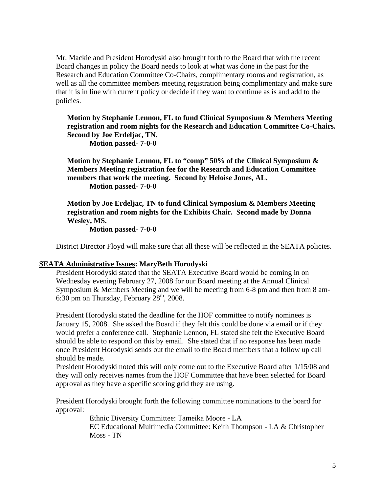Mr. Mackie and President Horodyski also brought forth to the Board that with the recent Board changes in policy the Board needs to look at what was done in the past for the Research and Education Committee Co-Chairs, complimentary rooms and registration, as well as all the committee members meeting registration being complimentary and make sure that it is in line with current policy or decide if they want to continue as is and add to the policies.

### **Motion by Stephanie Lennon, FL to fund Clinical Symposium & Members Meeting registration and room nights for the Research and Education Committee Co-Chairs. Second by Joe Erdeljac, TN. Motion passed- 7-0-0**

**Motion by Stephanie Lennon, FL to "comp" 50% of the Clinical Symposium & Members Meeting registration fee for the Research and Education Committee members that work the meeting. Second by Heloise Jones, AL. Motion passed- 7-0-0** 

**Motion by Joe Erdeljac, TN to fund Clinical Symposium & Members Meeting registration and room nights for the Exhibits Chair. Second made by Donna Wesley, MS.** 

 **Motion passed- 7-0-0** 

District Director Floyd will make sure that all these will be reflected in the SEATA policies.

### **SEATA Administrative Issues: MaryBeth Horodyski**

President Horodyski stated that the SEATA Executive Board would be coming in on Wednesday evening February 27, 2008 for our Board meeting at the Annual Clinical Symposium & Members Meeting and we will be meeting from 6-8 pm and then from 8 am-6:30 pm on Thursday, February  $28<sup>th</sup>$ , 2008.

President Horodyski stated the deadline for the HOF committee to notify nominees is January 15, 2008. She asked the Board if they felt this could be done via email or if they would prefer a conference call. Stephanie Lennon, FL stated she felt the Executive Board should be able to respond on this by email. She stated that if no response has been made once President Horodyski sends out the email to the Board members that a follow up call should be made.

President Horodyski noted this will only come out to the Executive Board after 1/15/08 and they will only receives names from the HOF Committee that have been selected for Board approval as they have a specific scoring grid they are using.

President Horodyski brought forth the following committee nominations to the board for approval:

> Ethnic Diversity Committee: Tameika Moore - LA EC Educational Multimedia Committee: Keith Thompson - LA & Christopher Moss - TN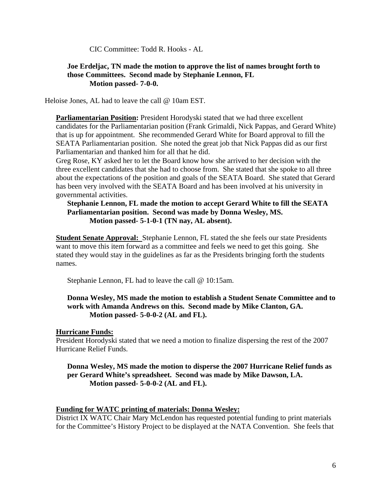CIC Committee: Todd R. Hooks - AL

### **Joe Erdeljac, TN made the motion to approve the list of names brought forth to those Committees. Second made by Stephanie Lennon, FL Motion passed- 7-0-0.**

Heloise Jones, AL had to leave the call @ 10am EST.

**Parliamentarian Position:** President Horodyski stated that we had three excellent candidates for the Parliamentarian position (Frank Grimaldi, Nick Pappas, and Gerard White) that is up for appointment. She recommended Gerard White for Board approval to fill the SEATA Parliamentarian position. She noted the great job that Nick Pappas did as our first Parliamentarian and thanked him for all that he did.

Greg Rose, KY asked her to let the Board know how she arrived to her decision with the three excellent candidates that she had to choose from. She stated that she spoke to all three about the expectations of the position and goals of the SEATA Board. She stated that Gerard has been very involved with the SEATA Board and has been involved at his university in governmental activities.

## **Stephanie Lennon, FL made the motion to accept Gerard White to fill the SEATA Parliamentarian position. Second was made by Donna Wesley, MS.**  Motion passed- 5-1-0-1 (TN nay, AL absent).

**Student Senate Approval:** Stephanie Lennon, FL stated the she feels our state Presidents want to move this item forward as a committee and feels we need to get this going. She stated they would stay in the guidelines as far as the Presidents bringing forth the students names.

Stephanie Lennon, FL had to leave the call @ 10:15am.

## **Donna Wesley, MS made the motion to establish a Student Senate Committee and to work with Amanda Andrews on this. Second made by Mike Clanton, GA. Motion passed- 5-0-0-2 (AL and FL).**

## **Hurricane Funds:**

President Horodyski stated that we need a motion to finalize dispersing the rest of the 2007 Hurricane Relief Funds.

**Donna Wesley, MS made the motion to disperse the 2007 Hurricane Relief funds as per Gerard White's spreadsheet. Second was made by Mike Dawson, LA. Motion passed- 5-0-0-2 (AL and FL).** 

## **Funding for WATC printing of materials: Donna Wesley:**

District IX WATC Chair Mary McLendon has requested potential funding to print materials for the Committee's History Project to be displayed at the NATA Convention. She feels that